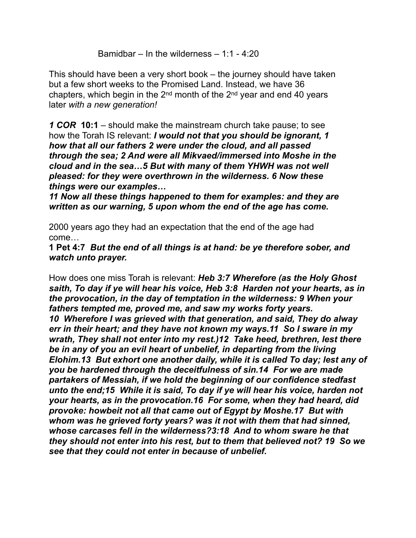Bamidbar – In the wilderness – 1:1 - 4:20

This should have been a very short book – the journey should have taken but a few short weeks to the Promised Land. Instead, we have 36 chapters, which begin in the  $2<sup>nd</sup>$  month of the  $2<sup>nd</sup>$  year and end 40 years later *with a new generation!*

*1 COR* **10:1** – should make the mainstream church take pause; to see how the Torah IS relevant: *I would not that you should be ignorant, 1 how that all our fathers 2 were under the cloud, and all passed through the sea; 2 And were all Mikvaed/immersed into Moshe in the cloud and in the sea…5 But with many of them YHWH was not well pleased: for they were overthrown in the wilderness. 6 Now these things were our examples…*

*11 Now all these things happened to them for examples: and they are written as our warning, 5 upon whom the end of the age has come.*

2000 years ago they had an expectation that the end of the age had come…

**1 Pet 4:7** *But the end of all things is at hand: be ye therefore sober, and watch unto prayer.*

How does one miss Torah is relevant: *Heb 3:7 Wherefore (as the Holy Ghost saith, To day if ye will hear his voice, Heb 3:8 Harden not your hearts, as in the provocation, in the day of temptation in the wilderness: 9 When your fathers tempted me, proved me, and saw my works forty years. 10 Wherefore I was grieved with that generation, and said, They do alway err in their heart; and they have not known my ways.11 So I sware in my wrath, They shall not enter into my rest.)12 Take heed, brethren, lest there be in any of you an evil heart of unbelief, in departing from the living Elohim.13 But exhort one another daily, while it is called To day; lest any of you be hardened through the deceitfulness of sin.14 For we are made partakers of Messiah, if we hold the beginning of our confidence stedfast unto the end;15 While it is said, To day if ye will hear his voice, harden not your hearts, as in the provocation.16 For some, when they had heard, did provoke: howbeit not all that came out of Egypt by Moshe.17 But with whom was he grieved forty years? was it not with them that had sinned, whose carcases fell in the wilderness?3:18 And to whom sware he that they should not enter into his rest, but to them that believed not? 19 So we see that they could not enter in because of unbelief.*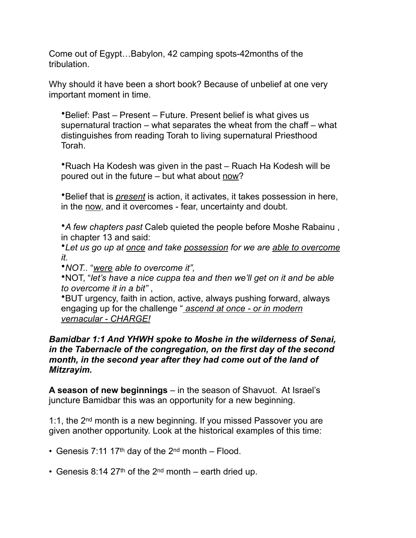Come out of Egypt…Babylon, 42 camping spots-42months of the tribulation.

Why should it have been a short book? Because of unbelief at one very important moment in time.

•Belief: Past – Present – Future. Present belief is what gives us supernatural traction – what separates the wheat from the chaff – what distinguishes from reading Torah to living supernatural Priesthood Torah.

•Ruach Ha Kodesh was given in the past – Ruach Ha Kodesh will be poured out in the future – but what about now?

•Belief that is *present* is action, it activates, it takes possession in here, in the now, and it overcomes - fear, uncertainty and doubt.

•*A few chapters past* Caleb quieted the people before Moshe Rabainu , in chapter 13 and said:

•*Let us go up at once and take possession for we are able to overcome it.* 

•*NOT..* "*were able to overcome it",*

•NOT, "*let's have a nice cuppa tea and then we'll get on it and be able to overcome it in a bit"* ,

•BUT urgency, faith in action, active, always pushing forward, always engaging up for the challenge " *ascend at once - or in modern vernacular - CHARGE!*

## *Bamidbar 1:1 And YHWH spoke to Moshe in the wilderness of Senai, in the Tabernacle of the congregation, on the first day of the second month, in the second year after they had come out of the land of Mitzrayim.*

**A season of new beginnings** – in the season of Shavuot. At Israel's juncture Bamidbar this was an opportunity for a new beginning.

1:1, the 2<sup>nd</sup> month is a new beginning. If you missed Passover you are given another opportunity. Look at the historical examples of this time:

- Genesis 7:11 17<sup>th</sup> day of the  $2^{nd}$  month Flood.
- Genesis 8:14 27<sup>th</sup> of the 2<sup>nd</sup> month earth dried up.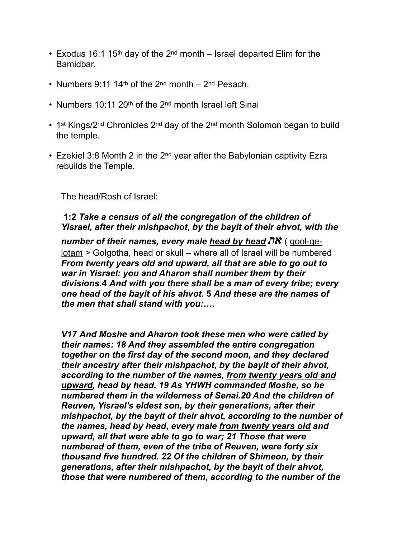- Exodus 16:1 15<sup>th</sup> day of the 2<sup>nd</sup> month Israel departed Elim for the Bamidbar.
- Numbers 9:11 14<sup>th</sup> of the 2<sup>nd</sup> month 2<sup>nd</sup> Pesach.
- Numbers 10:11 20<sup>th</sup> of the 2<sup>nd</sup> month Israel left Sinai
- 1<sup>st</sup> Kings/2<sup>nd</sup> Chronicles 2<sup>nd</sup> day of the 2<sup>nd</sup> month Solomon began to build the temple.
- Ezekiel 3:8 Month 2 in the  $2^{nd}$  year after the Babylonian captivity Ezra rebuilds the Temple.

The head/Rosh of Israel:

# **1:2** *Take a census of all the congregation of the children of Yisrael, after their mishpachot, by the bayit of their ahvot, with the*

*number of their names, every male head by head*  $\overline{IN}$  *(gool-ge*lotam > Golgotha, head or skull – where all of Israel will be numbered *From twenty years old and upward, all that are able to go out to war in Yisrael: you and Aharon shall number them by their divisions.***4** *And with you there shall be a man of every tribe; every one head of the bayit of his ahvot.* **5** *And these are the names of the men that shall stand with you:….*

*V17 And Moshe and Aharon took these men who were called by their names: 18 And they assembled the entire congregation together on the first day of the second moon, and they declared their ancestry after their mishpachot, by the bayit of their ahvot, according to the number of the names, from twenty years old and upward, head by head. 19 As YHWH commanded Moshe, so he numbered them in the wilderness of Senai.20 And the children of Reuven, Yisrael's eldest son, by their generations, after their mishpachot, by the bayit of their ahvot, according to the number of the names, head by head, every male from twenty years old and upward, all that were able to go to war; 21 Those that were numbered of them, even of the tribe of Reuven, were forty six thousand five hundred. 22 Of the children of Shimeon, by their generations, after their mishpachot, by the bayit of their ahvot, those that were numbered of them, according to the number of the*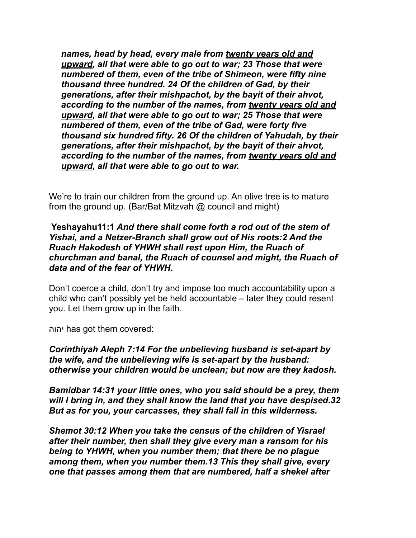*names, head by head, every male from twenty years old and upward, all that were able to go out to war; 23 Those that were numbered of them, even of the tribe of Shimeon, were fifty nine thousand three hundred. 24 Of the children of Gad, by their generations, after their mishpachot, by the bayit of their ahvot, according to the number of the names, from twenty years old and upward, all that were able to go out to war; 25 Those that were numbered of them, even of the tribe of Gad, were forty five thousand six hundred fifty. 26 Of the children of Yahudah, by their generations, after their mishpachot, by the bayit of their ahvot, according to the number of the names, from twenty years old and upward, all that were able to go out to war.*

We're to train our children from the ground up. An olive tree is to mature from the ground up. (Bar/Bat Mitzvah @ council and might)

### **Yeshayahu11:1** *And there shall come forth a rod out of the stem of Yishai, and a Netzer-Branch shall grow out of His roots:2 And the Ruach Hakodesh of YHWH shall rest upon Him, the Ruach of churchman and banal, the Ruach of counsel and might, the Ruach of data and of the fear of YHWH.*

Don't coerce a child, don't try and impose too much accountability upon a child who can't possibly yet be held accountable – later they could resent you. Let them grow up in the faith.

יהוה has got them covered:

*Corinthiyah Aleph 7:14 For the unbelieving husband is set-apart by the wife, and the unbelieving wife is set-apart by the husband: otherwise your children would be unclean; but now are they kadosh.*

*Bamidbar 14:31 your little ones, who you said should be a prey, them will I bring in, and they shall know the land that you have despised.32 But as for you, your carcasses, they shall fall in this wilderness.*

*Shemot 30:12 When you take the census of the children of Yisrael after their number, then shall they give every man a ransom for his being to YHWH, when you number them; that there be no plague among them, when you number them.13 This they shall give, every one that passes among them that are numbered, half a shekel after*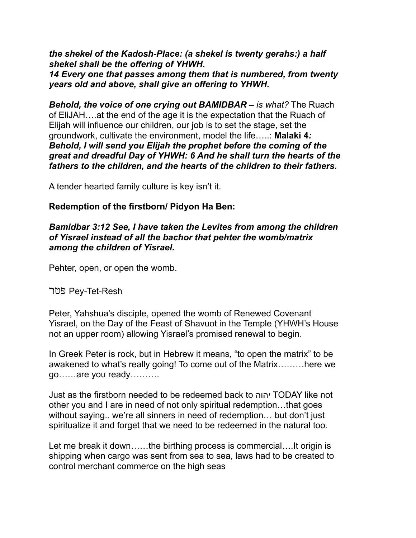*the shekel of the Kadosh-Place: (a shekel is twenty gerahs:) a half shekel shall be the offering of YHWH. 14 Every one that passes among them that is numbered, from twenty years old and above, shall give an offering to YHWH.*

*Behold, the voice of one crying out BAMIDBAR – is what?* The Ruach of EliJAH….at the end of the age it is the expectation that the Ruach of Elijah will influence our children, our job is to set the stage, set the groundwork, cultivate the environment, model the life…..: **Malaki 4***: Behold, I will send you Elijah the prophet before the coming of the great and dreadful Day of YHWH: 6 And he shall turn the hearts of the fathers to the children, and the hearts of the children to their fathers.*

A tender hearted family culture is key isn't it.

# **Redemption of the firstborn/ Pidyon Ha Ben:**

## *Bamidbar 3:12 See, I have taken the Levites from among the children of Yisrael instead of all the bachor that pehter the womb/matrix among the children of Yisrael.*

Pehter, open, or open the womb.

פּטר Pey-Tet-Resh

Peter, Yahshua's disciple, opened the womb of Renewed Covenant Yisrael, on the Day of the Feast of Shavuot in the Temple (YHWH's House not an upper room) allowing Yisrael's promised renewal to begin.

In Greek Peter is rock, but in Hebrew it means, "to open the matrix" to be awakened to what's really going! To come out of the Matrix………here we go……are you ready……….

Just as the firstborn needed to be redeemed back to יהוה TODAY like not other you and I are in need of not only spiritual redemption…that goes without saying.. we're all sinners in need of redemption… but don't just spiritualize it and forget that we need to be redeemed in the natural too.

Let me break it down……the birthing process is commercial….It origin is shipping when cargo was sent from sea to sea, laws had to be created to control merchant commerce on the high seas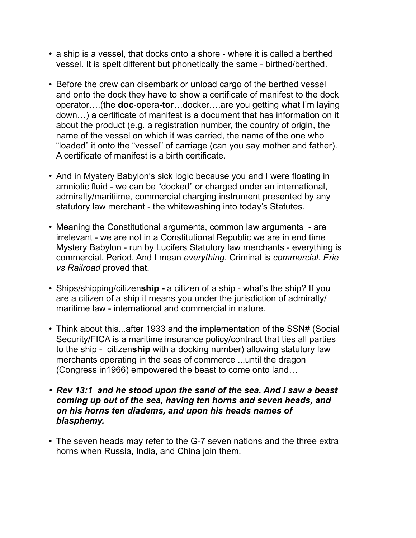- a ship is a vessel, that docks onto a shore where it is called a berthed vessel. It is spelt different but phonetically the same - birthed/berthed.
- Before the crew can disembark or unload cargo of the berthed vessel and onto the dock they have to show a certificate of manifest to the dock operator….(the **doc**-opera**-tor**…docker….are you getting what I'm laying down…) a certificate of manifest is a document that has information on it about the product (e.g. a registration number, the country of origin, the name of the vessel on which it was carried, the name of the one who "loaded" it onto the "vessel" of carriage (can you say mother and father). A certificate of manifest is a birth certificate.
- And in Mystery Babylon's sick logic because you and I were floating in amniotic fluid - we can be "docked" or charged under an international, admiralty/maritiime, commercial charging instrument presented by any statutory law merchant - the whitewashing into today's Statutes.
- Meaning the Constitutional arguments, common law arguments are irrelevant - we are not in a Constitutional Republic we are in end time Mystery Babylon - run by Lucifers Statutory law merchants - everything is commercial. Period. And I mean *everything.* Criminal is *commercial. Erie vs Railroad* proved that.
- Ships/shipping/citizen**ship -** a citizen of a ship what's the ship? If you are a citizen of a ship it means you under the jurisdiction of admiralty/ maritime law - international and commercial in nature.
- Think about this...after 1933 and the implementation of the SSN# (Social Security/FICA is a maritime insurance policy/contract that ties all parties to the ship - citizen**ship** with a docking number) allowing statutory law merchants operating in the seas of commerce ...until the dragon (Congress in1966) empowered the beast to come onto land…
- *• Rev 13:1 and he stood upon the sand of the sea. And I saw a beast coming up out of the sea, having ten horns and seven heads, and on his horns ten diadems, and upon his heads names of blasphemy.*
- The seven heads may refer to the G-7 seven nations and the three extra horns when Russia, India, and China join them.